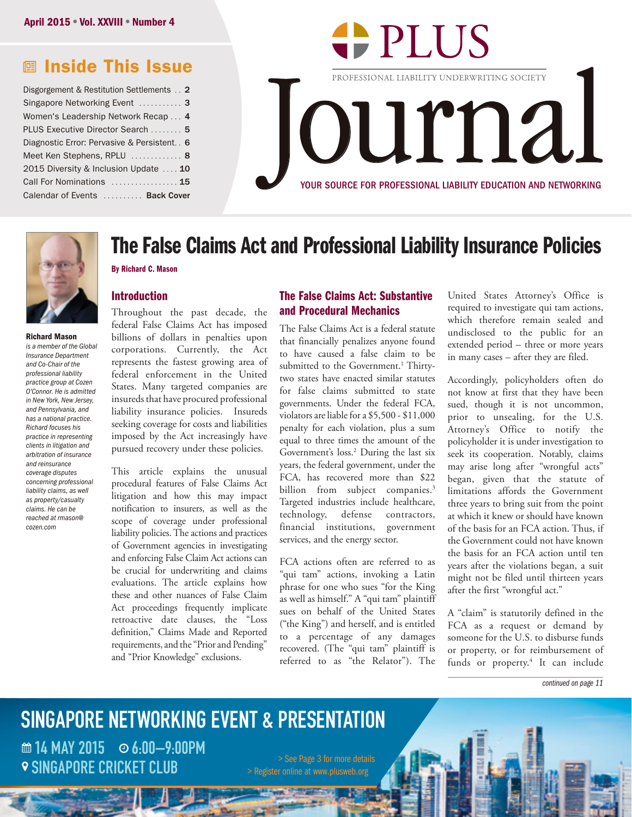### **图 Inside This Issue**

| Disgorgement & Restitution Settlements 2      |
|-----------------------------------------------|
| Singapore Networking Event  3                 |
| Women's Leadership Network Recap  4           |
| PLUS Executive Director Search  5             |
| Diagnostic Error: Pervasive & Persistent. . 6 |
| Meet Ken Stephens, RPLU  8                    |
| 2015 Diversity & Inclusion Update  10         |
| Call For Nominations  15                      |
| Calendar of Events  Back Cover                |

# TOUT TROFESSIONAL LIABRITY UNDERWATTING SOCIETY YOUR SOURCE FOR PROFESSIONAL LIABILITY EDUCATION AND NETWORKING



Richard Mason

*is a member of the Global Insurance Department and Co-Chair of the professional liability practice group at Cozen O'Connor. He is admitted in New York, New Jersey, and Pennsylvania, and has a national practice. Richard focuses his practice in representing clients in litigation and arbitration of insurance and reinsurance coverage disputes concerning professional liability claims, as well as property/casualty claims. He can be reached at rmason@ cozen.com*

## The False Claims Act and Professional Liability Insurance Policies

By Richard C. Mason

#### Introduction

Throughout the past decade, the federal False Claims Act has imposed billions of dollars in penalties upon corporations. Currently, the Act represents the fastest growing area of federal enforcement in the United States. Many targeted companies are insureds that have procured professional liability insurance policies. Insureds seeking coverage for costs and liabilities imposed by the Act increasingly have pursued recovery under these policies.

This article explains the unusual procedural features of False Claims Act litigation and how this may impact notification to insurers, as well as the scope of coverage under professional liability policies. The actions and practices of Government agencies in investigating and enforcing False Claim Act actions can be crucial for underwriting and claims evaluations. The article explains how these and other nuances of False Claim Act proceedings frequently implicate retroactive date clauses, the "Loss definition," Claims Made and Reported requirements, and the "Prior and Pending" and "Prior Knowledge" exclusions.

#### The False Claims Act: Substantive and Procedural Mechanics

The False Claims Act is a federal statute that financially penalizes anyone found to have caused a false claim to be submitted to the Government.<sup>1</sup> Thirtytwo states have enacted similar statutes for false claims submitted to state governments. Under the federal FCA, violators are liable for a \$5,500 - \$11,000 penalty for each violation, plus a sum equal to three times the amount of the Government's loss.2 During the last six years, the federal government, under the FCA, has recovered more than \$22 billion from subject companies.<sup>3</sup> Targeted industries include healthcare, technology, defense contractors, financial institutions, government services, and the energy sector.

FCA actions often are referred to as "qui tam" actions, invoking a Latin phrase for one who sues "for the King as well as himself." A "qui tam" plaintiff sues on behalf of the United States ("the King") and herself, and is entitled to a percentage of any damages recovered. (The "qui tam" plaintiff is referred to as "the Relator"). The

United States Attorney's Office is required to investigate qui tam actions, which therefore remain sealed and undisclosed to the public for an extended period – three or more years in many cases – after they are filed.

Accordingly, policyholders often do not know at first that they have been sued, though it is not uncommon, prior to unsealing, for the U.S. Attorney's Office to notify the policyholder it is under investigation to seek its cooperation. Notably, claims may arise long after "wrongful acts" began, given that the statute of limitations affords the Government three years to bring suit from the point at which it knew or should have known of the basis for an FCA action. Thus, if the Government could not have known the basis for an FCA action until ten years after the violations began, a suit might not be filed until thirteen years after the first "wrongful act."

A "claim" is statutorily defined in the FCA as a request or demand by someone for the U.S. to disburse funds or property, or for reimbursement of funds or property.<sup>4</sup> It can include

*continued on page 11*

## **SINGAPORE NETWORKING EVENT & PRESENTATION**

 **14 MAY 2015 6:00–9:00PM SINGAPORE CRICKET CLUB** 

 > See Page 3 for more details > Register online at www.plusweb.org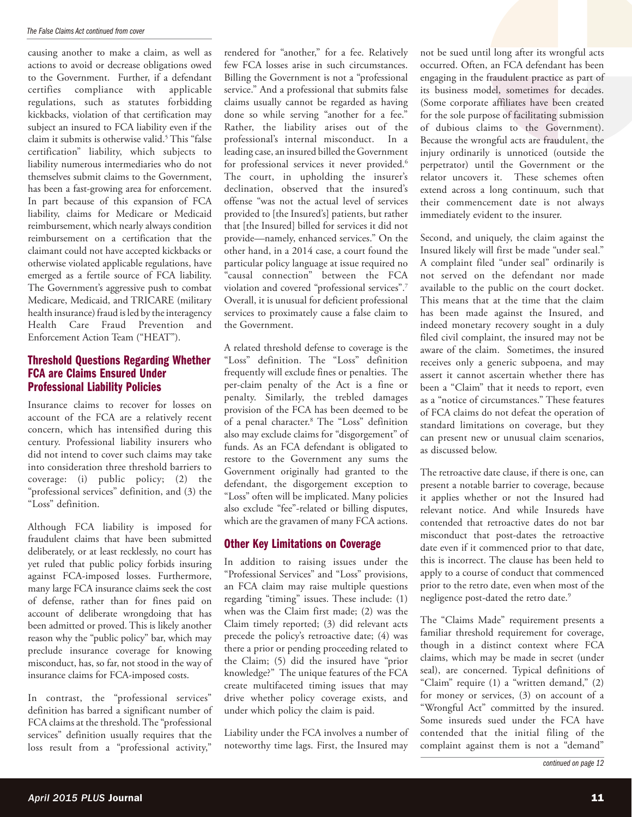causing another to make a claim, as well as actions to avoid or decrease obligations owed to the Government. Further, if a defendant certifies compliance with applicable regulations, such as statutes forbidding kickbacks, violation of that certification may subject an insured to FCA liability even if the claim it submits is otherwise valid.5 This "false certification" liability, which subjects to liability numerous intermediaries who do not themselves submit claims to the Government, has been a fast-growing area for enforcement. In part because of this expansion of FCA liability, claims for Medicare or Medicaid reimbursement, which nearly always condition reimbursement on a certification that the claimant could not have accepted kickbacks or otherwise violated applicable regulations, have emerged as a fertile source of FCA liability. The Government's aggressive push to combat Medicare, Medicaid, and TRICARE (military health insurance) fraud is led by the interagency Health Care Fraud Prevention and Enforcement Action Team ("HEAT").

#### Threshold Questions Regarding Whether FCA are Claims Ensured Under Professional Liability Policies

Insurance claims to recover for losses on account of the FCA are a relatively recent concern, which has intensified during this century. Professional liability insurers who did not intend to cover such claims may take into consideration three threshold barriers to coverage: (i) public policy; (2) the "professional services" definition, and (3) the "Loss" definition.

Although FCA liability is imposed for fraudulent claims that have been submitted deliberately, or at least recklessly, no court has yet ruled that public policy forbids insuring against FCA-imposed losses. Furthermore, many large FCA insurance claims seek the cost of defense, rather than for fines paid on account of deliberate wrongdoing that has been admitted or proved. This is likely another reason why the "public policy" bar, which may preclude insurance coverage for knowing misconduct, has, so far, not stood in the way of insurance claims for FCA-imposed costs.

In contrast, the "professional services" definition has barred a significant number of FCA claims at the threshold. The "professional services" definition usually requires that the loss result from a "professional activity,"

rendered for "another," for a fee. Relatively few FCA losses arise in such circumstances. Billing the Government is not a "professional service." And a professional that submits false claims usually cannot be regarded as having done so while serving "another for a fee." Rather, the liability arises out of the professional's internal misconduct. In a leading case, an insured billed the Government for professional services it never provided.<sup>6</sup> The court, in upholding the insurer's declination, observed that the insured's offense "was not the actual level of services provided to [the Insured's] patients, but rather that [the Insured] billed for services it did not provide—namely, enhanced services." On the other hand, in a 2014 case, a court found the particular policy language at issue required no "causal connection" between the FCA violation and covered "professional services".7 Overall, it is unusual for deficient professional services to proximately cause a false claim to the Government.

A related threshold defense to coverage is the "Loss" definition. The "Loss" definition frequently will exclude fines or penalties. The per-claim penalty of the Act is a fine or penalty. Similarly, the trebled damages provision of the FCA has been deemed to be of a penal character.8 The "Loss" definition also may exclude claims for "disgorgement" of funds. As an FCA defendant is obligated to restore to the Government any sums the Government originally had granted to the defendant, the disgorgement exception to "Loss" often will be implicated. Many policies also exclude "fee"-related or billing disputes, which are the gravamen of many FCA actions.

#### Other Key Limitations on Coverage

In addition to raising issues under the "Professional Services" and "Loss" provisions, an FCA claim may raise multiple questions regarding "timing" issues. These include: (1) when was the Claim first made; (2) was the Claim timely reported; (3) did relevant acts precede the policy's retroactive date; (4) was there a prior or pending proceeding related to the Claim; (5) did the insured have "prior knowledge?" The unique features of the FCA create multifaceted timing issues that may drive whether policy coverage exists, and under which policy the claim is paid.

Liability under the FCA involves a number of noteworthy time lags. First, the Insured may

not be sued until long after its wrongful acts occurred. Often, an FCA defendant has been engaging in the fraudulent practice as part of its business model, sometimes for decades. (Some corporate affiliates have been created for the sole purpose of facilitating submission of dubious claims to the Government). Because the wrongful acts are fraudulent, the injury ordinarily is unnoticed (outside the perpetrator) until the Government or the relator uncovers it. These schemes often extend across a long continuum, such that their commencement date is not always immediately evident to the insurer.

Second, and uniquely, the claim against the Insured likely will first be made "under seal." A complaint filed "under seal" ordinarily is not served on the defendant nor made available to the public on the court docket. This means that at the time that the claim has been made against the Insured, and indeed monetary recovery sought in a duly filed civil complaint, the insured may not be aware of the claim. Sometimes, the insured receives only a generic subpoena, and may assert it cannot ascertain whether there has been a "Claim" that it needs to report, even as a "notice of circumstances." These features of FCA claims do not defeat the operation of standard limitations on coverage, but they can present new or unusual claim scenarios, as discussed below.

The retroactive date clause, if there is one, can present a notable barrier to coverage, because it applies whether or not the Insured had relevant notice. And while Insureds have contended that retroactive dates do not bar misconduct that post-dates the retroactive date even if it commenced prior to that date, this is incorrect. The clause has been held to apply to a course of conduct that commenced prior to the retro date, even when most of the negligence post-dated the retro date.<sup>9</sup>

The "Claims Made" requirement presents a familiar threshold requirement for coverage, though in a distinct context where FCA claims, which may be made in secret (under seal), are concerned. Typical definitions of "Claim" require (1) a "written demand," (2) for money or services, (3) on account of a "Wrongful Act" committed by the insured. Some insureds sued under the FCA have contended that the initial filing of the complaint against them is not a "demand"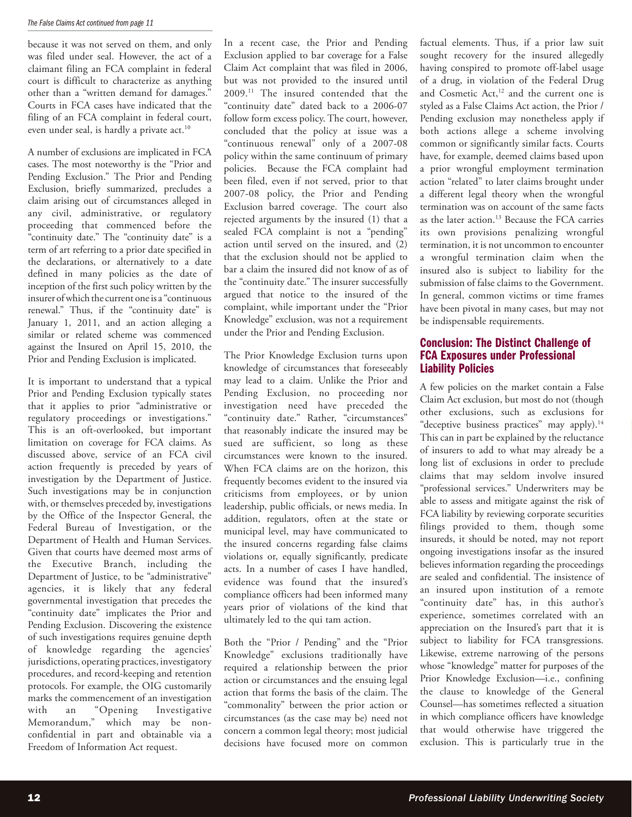because it was not served on them, and only was filed under seal. However, the act of a claimant filing an FCA complaint in federal court is difficult to characterize as anything other than a "written demand for damages." Courts in FCA cases have indicated that the filing of an FCA complaint in federal court, even under seal, is hardly a private act.<sup>10</sup>

A number of exclusions are implicated in FCA cases. The most noteworthy is the "Prior and Pending Exclusion." The Prior and Pending Exclusion, briefly summarized, precludes a claim arising out of circumstances alleged in any civil, administrative, or regulatory proceeding that commenced before the "continuity date." The "continuity date" is a term of art referring to a prior date specified in the declarations, or alternatively to a date defined in many policies as the date of inception of the first such policy written by the insurer of which the current one is a "continuous renewal." Thus, if the "continuity date" is January 1, 2011, and an action alleging a similar or related scheme was commenced against the Insured on April 15, 2010, the Prior and Pending Exclusion is implicated.

It is important to understand that a typical Prior and Pending Exclusion typically states that it applies to prior "administrative or regulatory proceedings or investigations." This is an oft-overlooked, but important limitation on coverage for FCA claims. As discussed above, service of an FCA civil action frequently is preceded by years of investigation by the Department of Justice. Such investigations may be in conjunction with, or themselves preceded by, investigations by the Office of the Inspector General, the Federal Bureau of Investigation, or the Department of Health and Human Services. Given that courts have deemed most arms of the Executive Branch, including the Department of Justice, to be "administrative" agencies, it is likely that any federal governmental investigation that precedes the "continuity date" implicates the Prior and Pending Exclusion. Discovering the existence of such investigations requires genuine depth of knowledge regarding the agencies' jurisdictions, operating practices, investigatory procedures, and record-keeping and retention protocols. For example, the OIG customarily marks the commencement of an investigation with an "Opening Investigative Memorandum," which may be nonconfidential in part and obtainable via a Freedom of Information Act request.

In a recent case, the Prior and Pending Exclusion applied to bar coverage for a False Claim Act complaint that was filed in 2006, but was not provided to the insured until 2009.11 The insured contended that the "continuity date" dated back to a 2006-07 follow form excess policy. The court, however, concluded that the policy at issue was a "continuous renewal" only of a 2007-08 policy within the same continuum of primary policies. Because the FCA complaint had been filed, even if not served, prior to that 2007-08 policy, the Prior and Pending Exclusion barred coverage. The court also rejected arguments by the insured (1) that a sealed FCA complaint is not a "pending" action until served on the insured, and (2) that the exclusion should not be applied to bar a claim the insured did not know of as of the "continuity date." The insurer successfully argued that notice to the insured of the complaint, while important under the "Prior Knowledge" exclusion, was not a requirement under the Prior and Pending Exclusion.

The Prior Knowledge Exclusion turns upon knowledge of circumstances that foreseeably may lead to a claim. Unlike the Prior and Pending Exclusion, no proceeding nor investigation need have preceded the "continuity date." Rather, "circumstances" that reasonably indicate the insured may be sued are sufficient, so long as these circumstances were known to the insured. When FCA claims are on the horizon, this frequently becomes evident to the insured via criticisms from employees, or by union leadership, public officials, or news media. In addition, regulators, often at the state or municipal level, may have communicated to the insured concerns regarding false claims violations or, equally significantly, predicate acts. In a number of cases I have handled, evidence was found that the insured's compliance officers had been informed many years prior of violations of the kind that ultimately led to the qui tam action.

Both the "Prior / Pending" and the "Prior Knowledge" exclusions traditionally have required a relationship between the prior action or circumstances and the ensuing legal action that forms the basis of the claim. The "commonality" between the prior action or circumstances (as the case may be) need not concern a common legal theory; most judicial decisions have focused more on common factual elements. Thus, if a prior law suit sought recovery for the insured allegedly having conspired to promote off-label usage of a drug, in violation of the Federal Drug and Cosmetic Act,<sup>12</sup> and the current one is styled as a False Claims Act action, the Prior / Pending exclusion may nonetheless apply if both actions allege a scheme involving common or significantly similar facts. Courts have, for example, deemed claims based upon a prior wrongful employment termination action "related" to later claims brought under a different legal theory when the wrongful termination was on account of the same facts as the later action.13 Because the FCA carries its own provisions penalizing wrongful termination, it is not uncommon to encounter a wrongful termination claim when the insured also is subject to liability for the submission of false claims to the Government. In general, common victims or time frames have been pivotal in many cases, but may not be indispensable requirements.

#### Conclusion: The Distinct Challenge of FCA Exposures under Professional Liability Policies

A few policies on the market contain a False Claim Act exclusion, but most do not (though other exclusions, such as exclusions for "deceptive business practices" may apply).<sup>14</sup> This can in part be explained by the reluctance of insurers to add to what may already be a long list of exclusions in order to preclude claims that may seldom involve insured "professional services." Underwriters may be able to assess and mitigate against the risk of FCA liability by reviewing corporate securities filings provided to them, though some insureds, it should be noted, may not report ongoing investigations insofar as the insured believes information regarding the proceedings are sealed and confidential. The insistence of an insured upon institution of a remote "continuity date" has, in this author's experience, sometimes correlated with an appreciation on the Insured's part that it is subject to liability for FCA transgressions. Likewise, extreme narrowing of the persons whose "knowledge" matter for purposes of the Prior Knowledge Exclusion—i.e., confining the clause to knowledge of the General Counsel—has sometimes reflected a situation in which compliance officers have knowledge that would otherwise have triggered the exclusion. This is particularly true in the